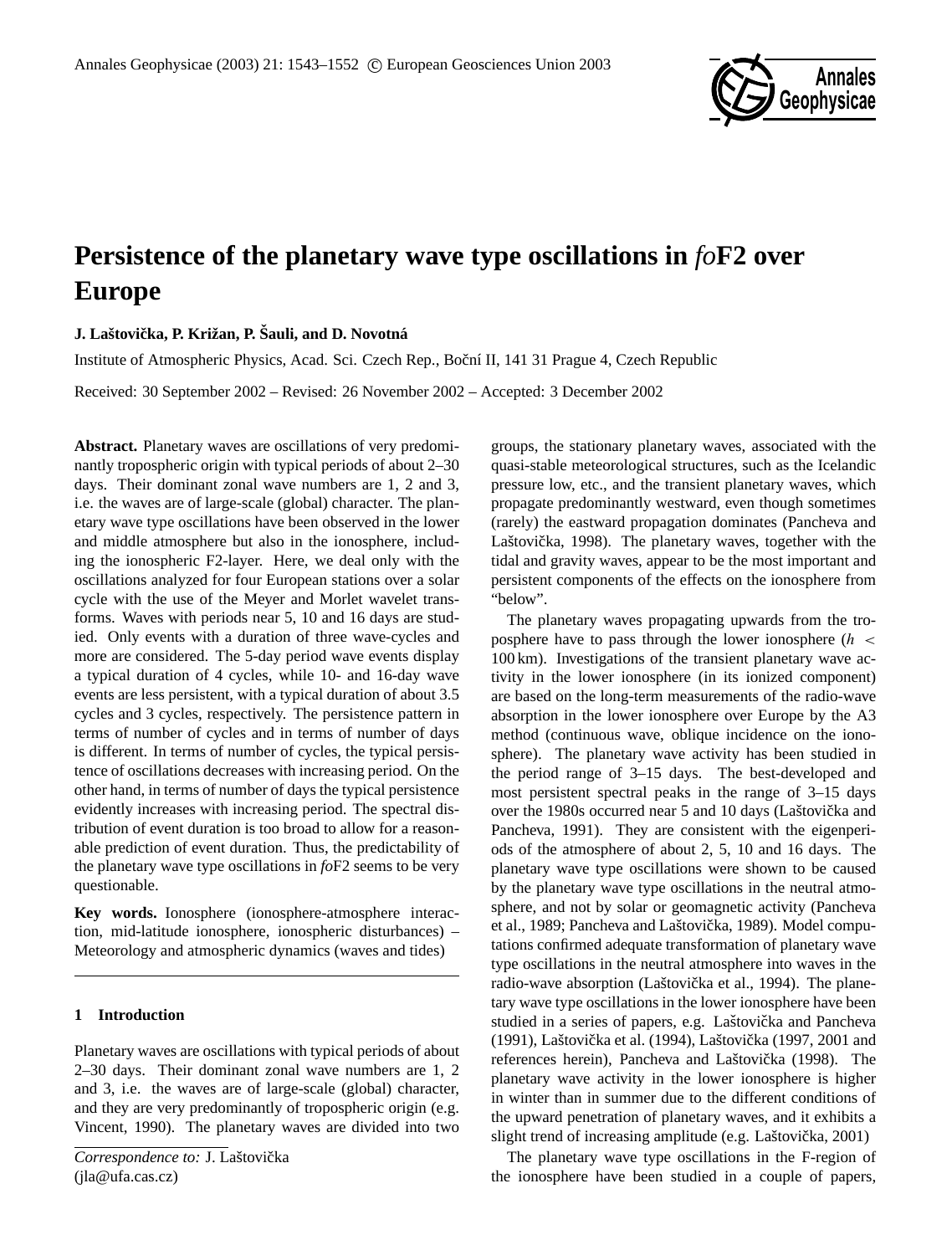

# **Persistence of the planetary wave type oscillations in** *fo***F2 over Europe**

**J. Lastovi ˇ cka, P. Kri ˇ zan, P. ˇ Sauli, and D. Novotn ˇ a´**

Institute of Atmospheric Physics, Acad. Sci. Czech Rep., Boční II, 141 31 Prague 4, Czech Republic

Received: 30 September 2002 – Revised: 26 November 2002 – Accepted: 3 December 2002

**Abstract.** Planetary waves are oscillations of very predominantly tropospheric origin with typical periods of about 2–30 days. Their dominant zonal wave numbers are 1, 2 and 3, i.e. the waves are of large-scale (global) character. The planetary wave type oscillations have been observed in the lower and middle atmosphere but also in the ionosphere, including the ionospheric F2-layer. Here, we deal only with the oscillations analyzed for four European stations over a solar cycle with the use of the Meyer and Morlet wavelet transforms. Waves with periods near 5, 10 and 16 days are studied. Only events with a duration of three wave-cycles and more are considered. The 5-day period wave events display a typical duration of 4 cycles, while 10- and 16-day wave events are less persistent, with a typical duration of about 3.5 cycles and 3 cycles, respectively. The persistence pattern in terms of number of cycles and in terms of number of days is different. In terms of number of cycles, the typical persistence of oscillations decreases with increasing period. On the other hand, in terms of number of days the typical persistence evidently increases with increasing period. The spectral distribution of event duration is too broad to allow for a reasonable prediction of event duration. Thus, the predictability of the planetary wave type oscillations in *fo*F2 seems to be very questionable.

**Key words.** Ionosphere (ionosphere-atmosphere interaction, mid-latitude ionosphere, ionospheric disturbances) – Meteorology and atmospheric dynamics (waves and tides)

# **1 Introduction**

Planetary waves are oscillations with typical periods of about 2–30 days. Their dominant zonal wave numbers are 1, 2 and 3, i.e. the waves are of large-scale (global) character, and they are very predominantly of tropospheric origin (e.g. Vincent, 1990). The planetary waves are divided into two groups, the stationary planetary waves, associated with the quasi-stable meteorological structures, such as the Icelandic pressure low, etc., and the transient planetary waves, which propagate predominantly westward, even though sometimes (rarely) the eastward propagation dominates (Pancheva and Laštovička, 1998). The planetary waves, together with the tidal and gravity waves, appear to be the most important and persistent components of the effects on the ionosphere from "below".

The planetary waves propagating upwards from the troposphere have to pass through the lower ionosphere  $(h \leq$ 100 km). Investigations of the transient planetary wave activity in the lower ionosphere (in its ionized component) are based on the long-term measurements of the radio-wave absorption in the lower ionosphere over Europe by the A3 method (continuous wave, oblique incidence on the ionosphere). The planetary wave activity has been studied in the period range of 3–15 days. The best-developed and most persistent spectral peaks in the range of 3–15 days over the 1980s occurred near 5 and 10 days (Laštovička and Pancheva, 1991). They are consistent with the eigenperiods of the atmosphere of about 2, 5, 10 and 16 days. The planetary wave type oscillations were shown to be caused by the planetary wave type oscillations in the neutral atmosphere, and not by solar or geomagnetic activity (Pancheva et al., 1989; Pancheva and Laštovička, 1989). Model computations confirmed adequate transformation of planetary wave type oscillations in the neutral atmosphere into waves in the radio-wave absorption (Laštovička et al., 1994). The planetary wave type oscillations in the lower ionosphere have been studied in a series of papers, e.g. Laštovička and Pancheva (1991), Laštovička et al. (1994), Laštovička (1997, 2001 and references herein), Pancheva and Laštovička (1998). The planetary wave activity in the lower ionosphere is higher in winter than in summer due to the different conditions of the upward penetration of planetary waves, and it exhibits a slight trend of increasing amplitude (e.g. Laštovička, 2001)

The planetary wave type oscillations in the F-region of the ionosphere have been studied in a couple of papers,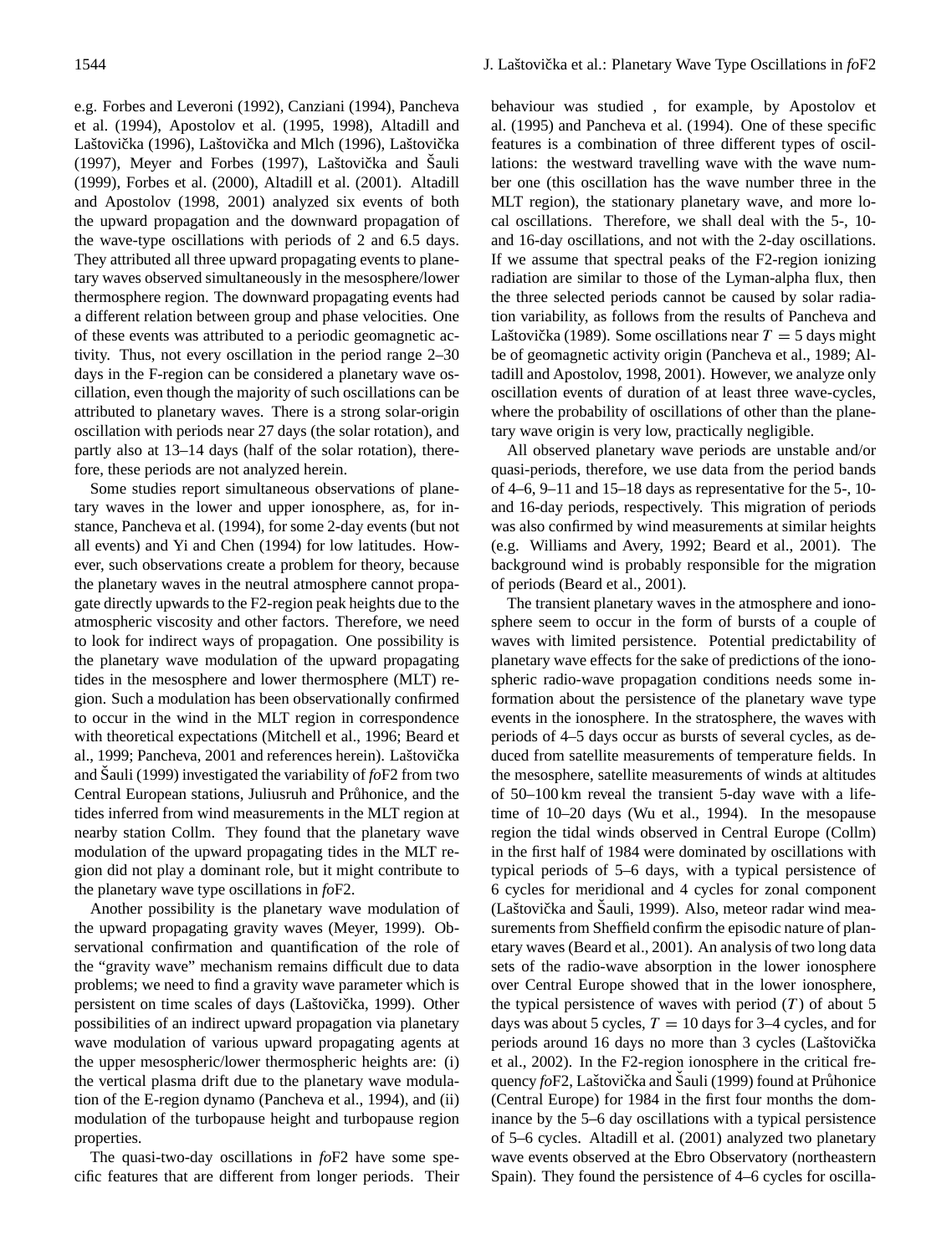e.g. Forbes and Leveroni (1992), Canziani (1994), Pancheva et al. (1994), Apostolov et al. (1995, 1998), Altadill and Laštovička (1996), Laštovička and Mlch (1996), Laštovička (1997), Meyer and Forbes (1997), Laštovička and Šauli (1999), Forbes et al. (2000), Altadill et al. (2001). Altadill and Apostolov (1998, 2001) analyzed six events of both the upward propagation and the downward propagation of the wave-type oscillations with periods of 2 and 6.5 days. They attributed all three upward propagating events to planetary waves observed simultaneously in the mesosphere/lower thermosphere region. The downward propagating events had a different relation between group and phase velocities. One of these events was attributed to a periodic geomagnetic activity. Thus, not every oscillation in the period range 2–30 days in the F-region can be considered a planetary wave oscillation, even though the majority of such oscillations can be attributed to planetary waves. There is a strong solar-origin oscillation with periods near 27 days (the solar rotation), and partly also at 13–14 days (half of the solar rotation), therefore, these periods are not analyzed herein.

Some studies report simultaneous observations of planetary waves in the lower and upper ionosphere, as, for instance, Pancheva et al. (1994), for some 2-day events (but not all events) and Yi and Chen (1994) for low latitudes. However, such observations create a problem for theory, because the planetary waves in the neutral atmosphere cannot propagate directly upwards to the F2-region peak heights due to the atmospheric viscosity and other factors. Therefore, we need to look for indirect ways of propagation. One possibility is the planetary wave modulation of the upward propagating tides in the mesosphere and lower thermosphere (MLT) region. Such a modulation has been observationally confirmed to occur in the wind in the MLT region in correspondence with theoretical expectations (Mitchell et al., 1996; Beard et al., 1999; Pancheva, 2001 and references herein). Laštovička and Sauli (1999) investigated the variability of  $f \circ F$ 2 from two Central European stations, Juliusruh and Průhonice, and the tides inferred from wind measurements in the MLT region at nearby station Collm. They found that the planetary wave modulation of the upward propagating tides in the MLT region did not play a dominant role, but it might contribute to the planetary wave type oscillations in *fo*F2.

Another possibility is the planetary wave modulation of the upward propagating gravity waves (Meyer, 1999). Observational confirmation and quantification of the role of the "gravity wave" mechanism remains difficult due to data problems; we need to find a gravity wave parameter which is persistent on time scales of days (Laštovička, 1999). Other possibilities of an indirect upward propagation via planetary wave modulation of various upward propagating agents at the upper mesospheric/lower thermospheric heights are: (i) the vertical plasma drift due to the planetary wave modulation of the E-region dynamo (Pancheva et al., 1994), and (ii) modulation of the turbopause height and turbopause region properties.

The quasi-two-day oscillations in *fo*F2 have some specific features that are different from longer periods. Their behaviour was studied , for example, by Apostolov et al. (1995) and Pancheva et al. (1994). One of these specific features is a combination of three different types of oscillations: the westward travelling wave with the wave number one (this oscillation has the wave number three in the MLT region), the stationary planetary wave, and more local oscillations. Therefore, we shall deal with the 5-, 10 and 16-day oscillations, and not with the 2-day oscillations. If we assume that spectral peaks of the F2-region ionizing radiation are similar to those of the Lyman-alpha flux, then the three selected periods cannot be caused by solar radiation variability, as follows from the results of Pancheva and Laštovička (1989). Some oscillations near  $T = 5$  days might be of geomagnetic activity origin (Pancheva et al., 1989; Altadill and Apostolov, 1998, 2001). However, we analyze only oscillation events of duration of at least three wave-cycles, where the probability of oscillations of other than the planetary wave origin is very low, practically negligible.

All observed planetary wave periods are unstable and/or quasi-periods, therefore, we use data from the period bands of  $4-6$ ,  $9-11$  and  $15-18$  days as representative for the 5-, 10and 16-day periods, respectively. This migration of periods was also confirmed by wind measurements at similar heights (e.g. Williams and Avery, 1992; Beard et al., 2001). The background wind is probably responsible for the migration of periods (Beard et al., 2001).

The transient planetary waves in the atmosphere and ionosphere seem to occur in the form of bursts of a couple of waves with limited persistence. Potential predictability of planetary wave effects for the sake of predictions of the ionospheric radio-wave propagation conditions needs some information about the persistence of the planetary wave type events in the ionosphere. In the stratosphere, the waves with periods of 4–5 days occur as bursts of several cycles, as deduced from satellite measurements of temperature fields. In the mesosphere, satellite measurements of winds at altitudes of 50–100 km reveal the transient 5-day wave with a lifetime of 10–20 days (Wu et al., 1994). In the mesopause region the tidal winds observed in Central Europe (Collm) in the first half of 1984 were dominated by oscillations with typical periods of 5–6 days, with a typical persistence of 6 cycles for meridional and 4 cycles for zonal component (Laštovička and Šauli, 1999). Also, meteor radar wind measurements from Sheffield confirm the episodic nature of planetary waves (Beard et al., 2001). An analysis of two long data sets of the radio-wave absorption in the lower ionosphere over Central Europe showed that in the lower ionosphere, the typical persistence of waves with period  $(T)$  of about 5 days was about 5 cycles,  $T = 10$  days for 3–4 cycles, and for periods around 16 days no more than 3 cycles (Laštovička et al., 2002). In the F2-region ionosphere in the critical frequency *fo*F2, Laštovička and Šauli (1999) found at Průhonice (Central Europe) for 1984 in the first four months the dominance by the 5–6 day oscillations with a typical persistence of 5–6 cycles. Altadill et al. (2001) analyzed two planetary wave events observed at the Ebro Observatory (northeastern Spain). They found the persistence of 4–6 cycles for oscilla-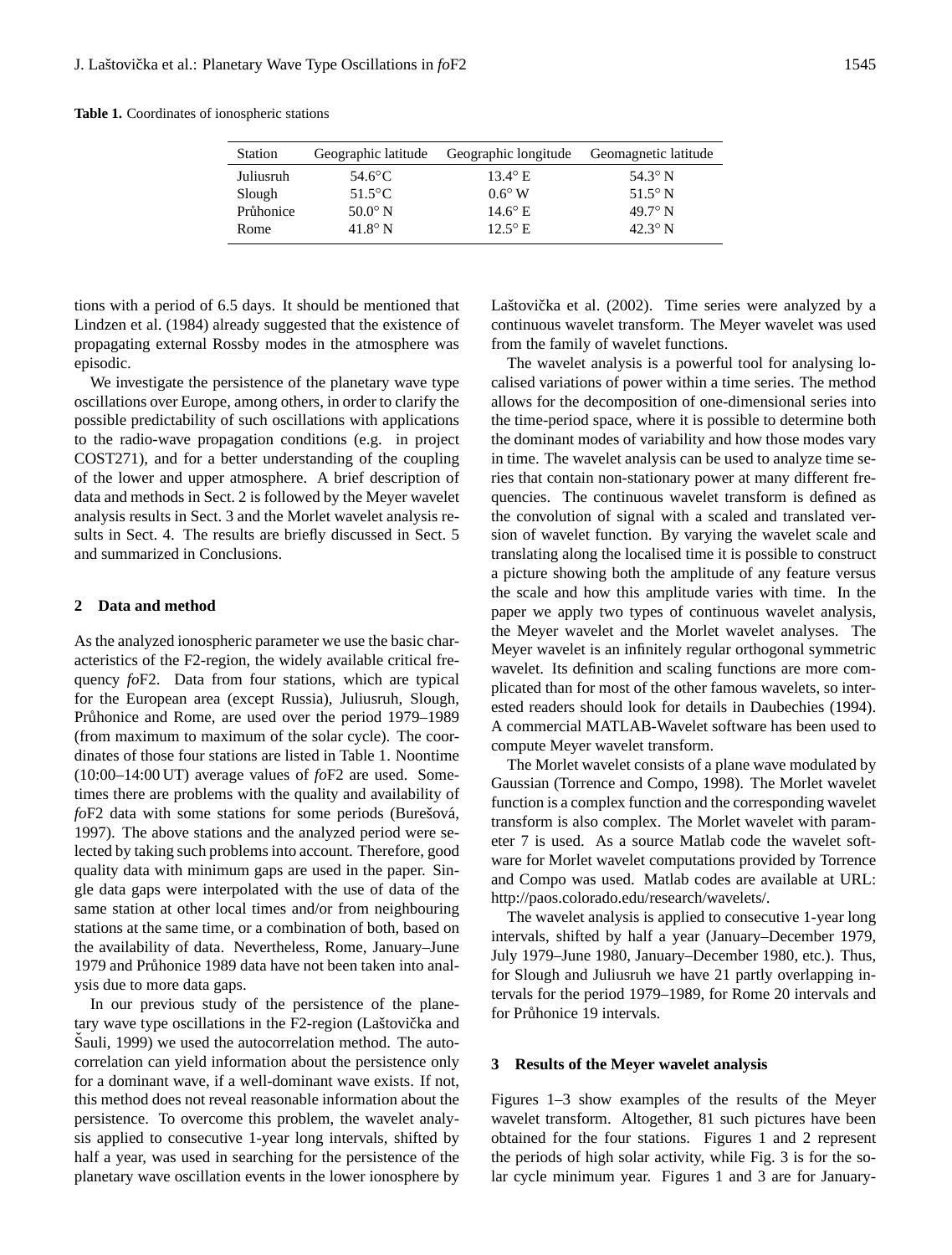| <b>Station</b> | Geographic latitude  | Geographic longitude Geomagnetic latitude |                  |
|----------------|----------------------|-------------------------------------------|------------------|
| Juliusruh      | 54.6 $\rm ^{\circ}C$ | $13.4^\circ$ E                            | $54.3^\circ$ N   |
| Slough         | $51.5^{\circ}$ C     | $0.6^\circ$ W                             | $51.5^\circ$ N   |
| Průhonice      | $50.0^\circ$ N       | $14.6^\circ$ E                            | $49.7^\circ$ N   |
| Rome           | $41.8^\circ$ N       | $12.5^\circ$ E                            | $42.3^{\circ}$ N |

**Table 1.** Coordinates of ionospheric stations

tions with a period of 6.5 days. It should be mentioned that Lindzen et al. (1984) already suggested that the existence of propagating external Rossby modes in the atmosphere was episodic.

We investigate the persistence of the planetary wave type oscillations over Europe, among others, in order to clarify the possible predictability of such oscillations with applications to the radio-wave propagation conditions (e.g. in project COST271), and for a better understanding of the coupling of the lower and upper atmosphere. A brief description of data and methods in Sect. 2 is followed by the Meyer wavelet analysis results in Sect. 3 and the Morlet wavelet analysis results in Sect. 4. The results are briefly discussed in Sect. 5 and summarized in Conclusions.

## **2 Data and method**

As the analyzed ionospheric parameter we use the basic characteristics of the F2-region, the widely available critical frequency *fo*F2. Data from four stations, which are typical for the European area (except Russia), Juliusruh, Slough, Průhonice and Rome, are used over the period 1979–1989 (from maximum to maximum of the solar cycle). The coordinates of those four stations are listed in Table 1. Noontime (10:00–14:00 UT) average values of *fo*F2 are used. Sometimes there are problems with the quality and availability of *fo*F2 data with some stations for some periods (Burešová, 1997). The above stations and the analyzed period were selected by taking such problems into account. Therefore, good quality data with minimum gaps are used in the paper. Single data gaps were interpolated with the use of data of the same station at other local times and/or from neighbouring stations at the same time, or a combination of both, based on the availability of data. Nevertheless, Rome, January–June 1979 and Průhonice 1989 data have not been taken into analysis due to more data gaps.

In our previous study of the persistence of the planetary wave type oscillations in the F2-region (Laštovička and Šauli, 1999) we used the autocorrelation method. The autocorrelation can yield information about the persistence only for a dominant wave, if a well-dominant wave exists. If not, this method does not reveal reasonable information about the persistence. To overcome this problem, the wavelet analysis applied to consecutive 1-year long intervals, shifted by half a year, was used in searching for the persistence of the planetary wave oscillation events in the lower ionosphere by Laštovička et al. (2002). Time series were analyzed by a continuous wavelet transform. The Meyer wavelet was used from the family of wavelet functions.

The wavelet analysis is a powerful tool for analysing localised variations of power within a time series. The method allows for the decomposition of one-dimensional series into the time-period space, where it is possible to determine both the dominant modes of variability and how those modes vary in time. The wavelet analysis can be used to analyze time series that contain non-stationary power at many different frequencies. The continuous wavelet transform is defined as the convolution of signal with a scaled and translated version of wavelet function. By varying the wavelet scale and translating along the localised time it is possible to construct a picture showing both the amplitude of any feature versus the scale and how this amplitude varies with time. In the paper we apply two types of continuous wavelet analysis, the Meyer wavelet and the Morlet wavelet analyses. The Meyer wavelet is an infinitely regular orthogonal symmetric wavelet. Its definition and scaling functions are more complicated than for most of the other famous wavelets, so interested readers should look for details in Daubechies (1994). A commercial MATLAB-Wavelet software has been used to compute Meyer wavelet transform.

The Morlet wavelet consists of a plane wave modulated by Gaussian (Torrence and Compo, 1998). The Morlet wavelet function is a complex function and the corresponding wavelet transform is also complex. The Morlet wavelet with parameter 7 is used. As a source Matlab code the wavelet software for Morlet wavelet computations provided by Torrence and Compo was used. Matlab codes are available at URL: http://paos.colorado.edu/research/wavelets/.

The wavelet analysis is applied to consecutive 1-year long intervals, shifted by half a year (January–December 1979, July 1979–June 1980, January–December 1980, etc.). Thus, for Slough and Juliusruh we have 21 partly overlapping intervals for the period 1979–1989, for Rome 20 intervals and for Průhonice 19 intervals.

#### **3 Results of the Meyer wavelet analysis**

Figures 1–3 show examples of the results of the Meyer wavelet transform. Altogether, 81 such pictures have been obtained for the four stations. Figures 1 and 2 represent the periods of high solar activity, while Fig. 3 is for the solar cycle minimum year. Figures 1 and 3 are for January-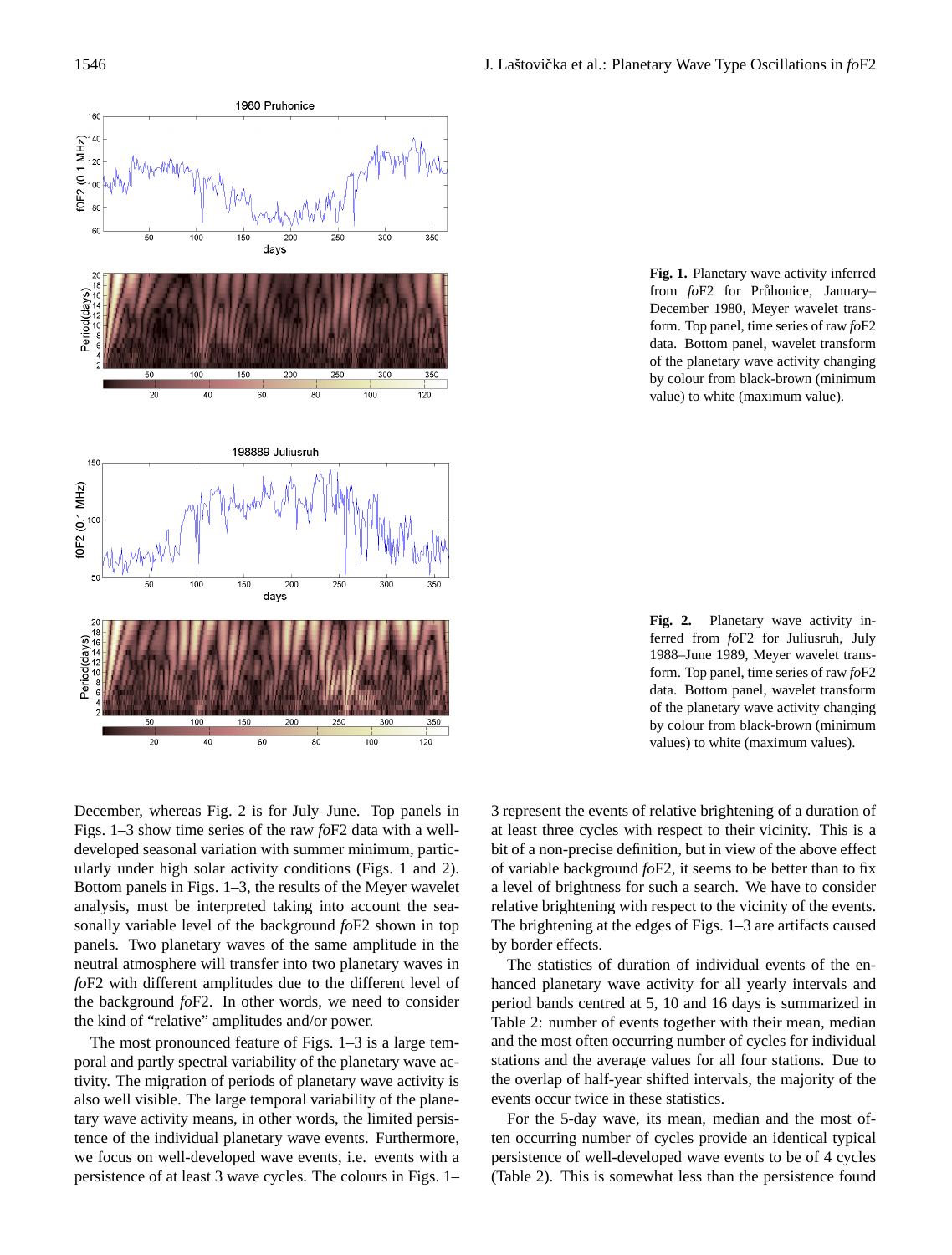

**Fig. 1.** Planetary wave activity inferred from *fo*F2 for Průhonice, January– December 1980, Meyer wavelet transform. Top panel, time series of raw *fo*F2 data. Bottom panel, wavelet transform of the planetary wave activity changing by colour from black-brown (minimum value) to white (maximum value).

**Fig. 2.** Planetary wave activity inferred from *fo*F2 for Juliusruh, July 1988–June 1989, Meyer wavelet transform. Top panel, time series of raw *fo*F2 data. Bottom panel, wavelet transform of the planetary wave activity changing by colour from black-brown (minimum values) to white (maximum values).

December, whereas Fig. 2 is for July–June. Top panels in Figs. 1–3 show time series of the raw *fo*F2 data with a welldeveloped seasonal variation with summer minimum, particularly under high solar activity conditions (Figs. 1 and 2). Bottom panels in Figs. 1–3, the results of the Meyer wavelet analysis, must be interpreted taking into account the seasonally variable level of the background *fo*F2 shown in top panels. Two planetary waves of the same amplitude in the neutral atmosphere will transfer into two planetary waves in *fo*F2 with different amplitudes due to the different level of the background *fo*F2. In other words, we need to consider the kind of "relative" amplitudes and/or power.

The most pronounced feature of Figs. 1–3 is a large temporal and partly spectral variability of the planetary wave activity. The migration of periods of planetary wave activity is also well visible. The large temporal variability of the planetary wave activity means, in other words, the limited persistence of the individual planetary wave events. Furthermore, we focus on well-developed wave events, i.e. events with a persistence of at least 3 wave cycles. The colours in Figs. 1–

3 represent the events of relative brightening of a duration of at least three cycles with respect to their vicinity. This is a bit of a non-precise definition, but in view of the above effect of variable background *fo*F2, it seems to be better than to fix a level of brightness for such a search. We have to consider relative brightening with respect to the vicinity of the events. The brightening at the edges of Figs. 1–3 are artifacts caused by border effects.

The statistics of duration of individual events of the enhanced planetary wave activity for all yearly intervals and period bands centred at 5, 10 and 16 days is summarized in Table 2: number of events together with their mean, median and the most often occurring number of cycles for individual stations and the average values for all four stations. Due to the overlap of half-year shifted intervals, the majority of the events occur twice in these statistics.

For the 5-day wave, its mean, median and the most often occurring number of cycles provide an identical typical persistence of well-developed wave events to be of 4 cycles (Table 2). This is somewhat less than the persistence found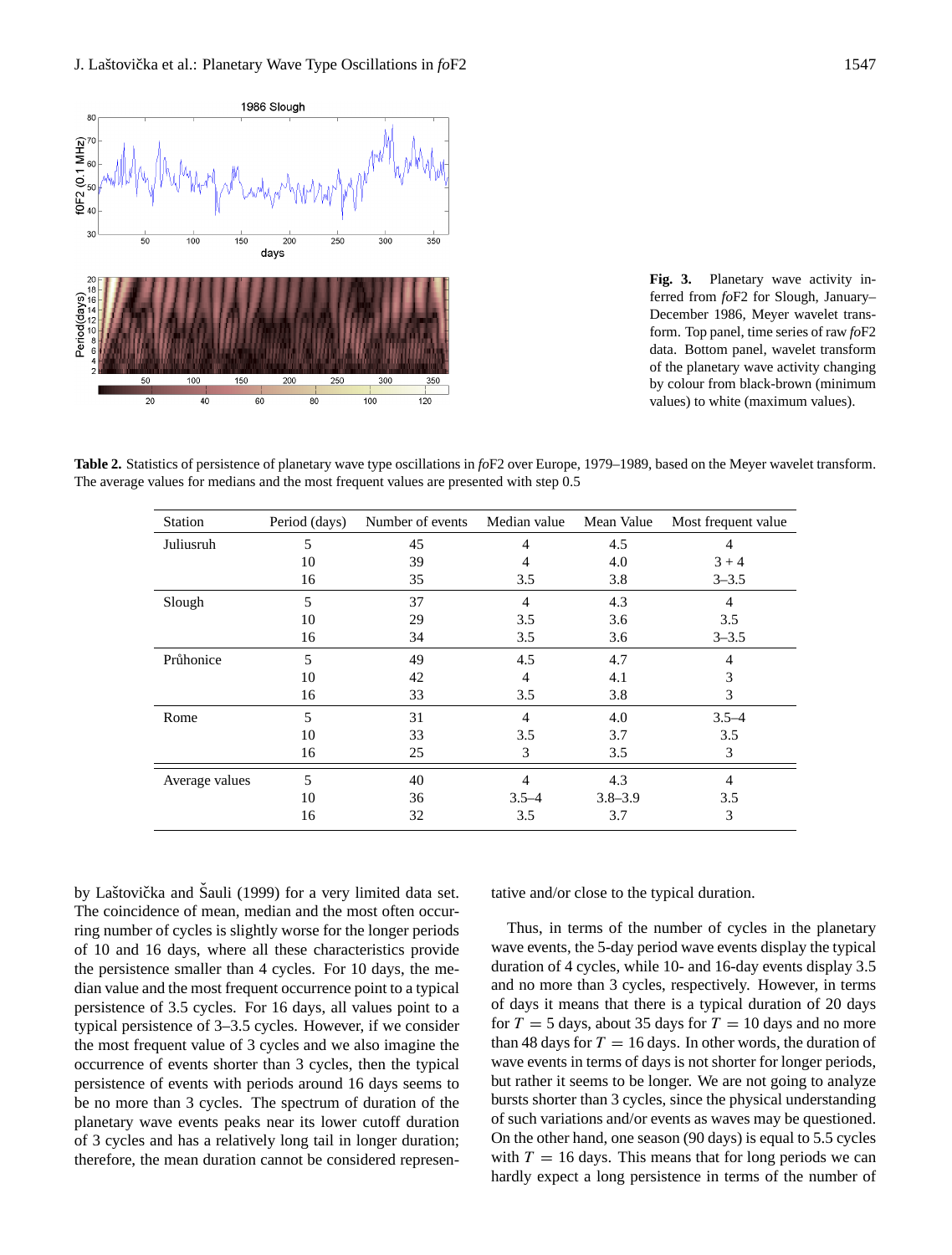

**Fig. 3.** Planetary wave activity inferred from *fo*F2 for Slough, January– December 1986, Meyer wavelet transform. Top panel, time series of raw *fo*F2 data. Bottom panel, wavelet transform of the planetary wave activity changing by colour from black-brown (minimum values) to white (maximum values).

**Table 2.** Statistics of persistence of planetary wave type oscillations in *fo*F2 over Europe, 1979–1989, based on the Meyer wavelet transform. The average values for medians and the most frequent values are presented with step 0.5

| <b>Station</b> | Period (days) | Number of events | Median value   | Mean Value  | Most frequent value |
|----------------|---------------|------------------|----------------|-------------|---------------------|
| Juliusruh      | 5             | 45               | $\overline{4}$ | 4.5         | 4                   |
|                | 10            | 39               | 4              | 4.0         | $3 + 4$             |
|                | 16            | 35               | 3.5            | 3.8         | $3 - 3.5$           |
| Slough         | 5             | 37               | 4              | 4.3         | $\overline{4}$      |
|                | 10            | 29               | 3.5            | 3.6         | 3.5                 |
|                | 16            | 34               | 3.5            | 3.6         | $3 - 3.5$           |
| Průhonice      | 5             | 49               | 4.5            | 4.7         | $\overline{4}$      |
|                | 10            | 42               | 4              | 4.1         | 3                   |
|                | 16            | 33               | 3.5            | 3.8         | 3                   |
| Rome           | 5             | 31               | 4              | 4.0         | $3.5 - 4$           |
|                | 10            | 33               | 3.5            | 3.7         | 3.5                 |
|                | 16            | 25               | 3              | 3.5         | 3                   |
| Average values | 5             | 40               | 4              | 4.3         | $\overline{4}$      |
|                | 10            | 36               | $3.5 - 4$      | $3.8 - 3.9$ | 3.5                 |
|                | 16            | 32               | 3.5            | 3.7         | 3                   |

by Laštovička and Šauli (1999) for a very limited data set. The coincidence of mean, median and the most often occurring number of cycles is slightly worse for the longer periods of 10 and 16 days, where all these characteristics provide the persistence smaller than 4 cycles. For 10 days, the median value and the most frequent occurrence point to a typical persistence of 3.5 cycles. For 16 days, all values point to a typical persistence of 3–3.5 cycles. However, if we consider the most frequent value of 3 cycles and we also imagine the occurrence of events shorter than 3 cycles, then the typical persistence of events with periods around 16 days seems to be no more than 3 cycles. The spectrum of duration of the planetary wave events peaks near its lower cutoff duration of 3 cycles and has a relatively long tail in longer duration; therefore, the mean duration cannot be considered represen-

tative and/or close to the typical duration.

Thus, in terms of the number of cycles in the planetary wave events, the 5-day period wave events display the typical duration of 4 cycles, while 10- and 16-day events display 3.5 and no more than 3 cycles, respectively. However, in terms of days it means that there is a typical duration of 20 days for  $T = 5$  days, about 35 days for  $T = 10$  days and no more than 48 days for  $T = 16$  days. In other words, the duration of wave events in terms of days is not shorter for longer periods, but rather it seems to be longer. We are not going to analyze bursts shorter than 3 cycles, since the physical understanding of such variations and/or events as waves may be questioned. On the other hand, one season (90 days) is equal to 5.5 cycles with  $T = 16$  days. This means that for long periods we can hardly expect a long persistence in terms of the number of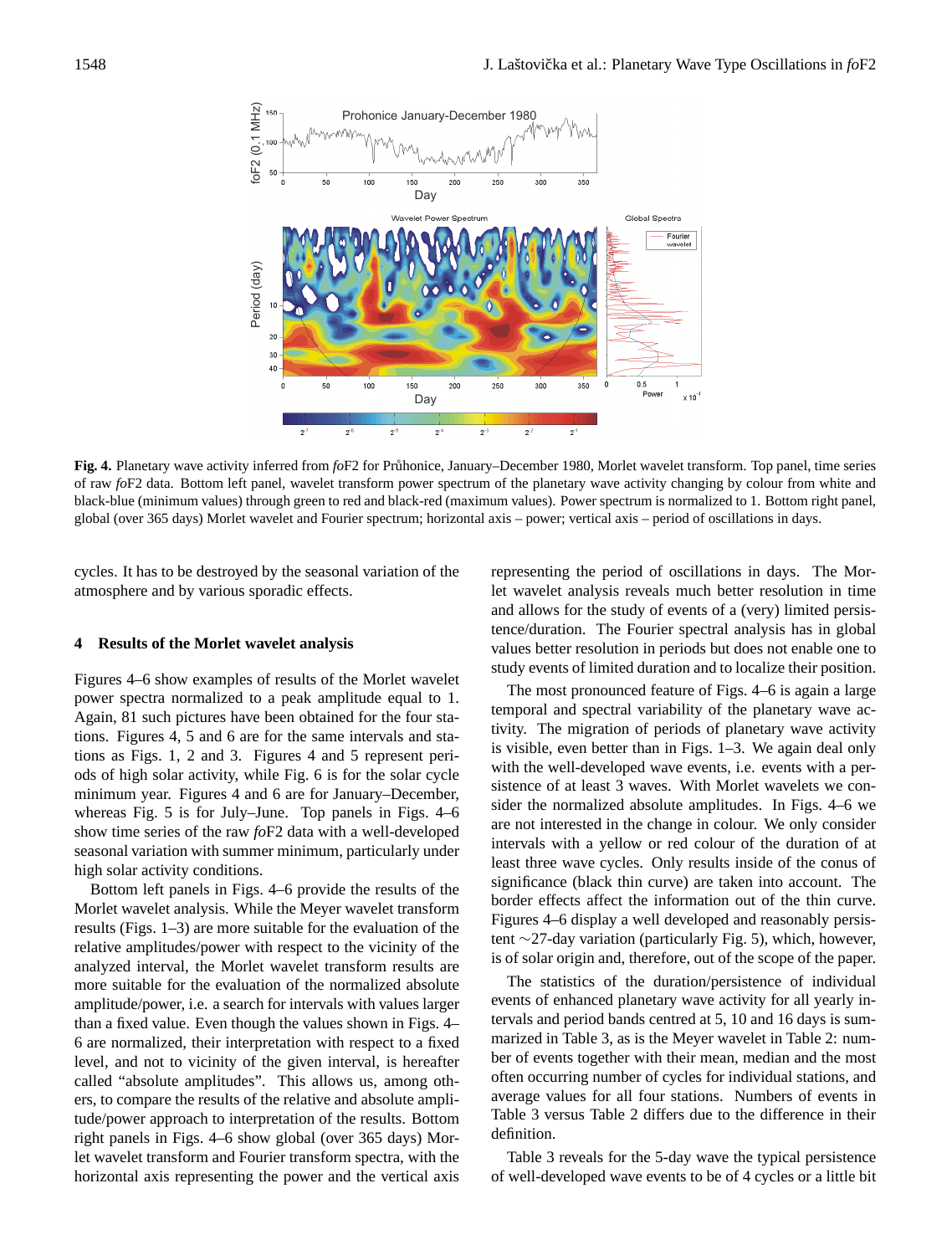

Fig. 4. Planetary wave activity inferred from *foF2* for Průhonice, January–December 1980, Morlet wavelet transform. Top panel, time series of raw *fo*F2 data. Bottom left panel, wavelet transform power spectrum of the planetary wave activity changing by colour from white and black-blue (minimum values) through green to red and black-red (maximum values). Power spectrum is normalized to 1. Bottom right panel, global (over 365 days) Morlet wavelet and Fourier spectrum; horizontal axis – power; vertical axis – period of oscillations in days.

cycles. It has to be destroyed by the seasonal variation of the atmosphere and by various sporadic effects.

#### **4 Results of the Morlet wavelet analysis**

Figures 4–6 show examples of results of the Morlet wavelet power spectra normalized to a peak amplitude equal to 1. Again, 81 such pictures have been obtained for the four stations. Figures 4, 5 and 6 are for the same intervals and stations as Figs. 1, 2 and 3. Figures 4 and 5 represent periods of high solar activity, while Fig. 6 is for the solar cycle minimum year. Figures 4 and 6 are for January–December, whereas Fig. 5 is for July–June. Top panels in Figs. 4–6 show time series of the raw *fo*F2 data with a well-developed seasonal variation with summer minimum, particularly under high solar activity conditions.

Bottom left panels in Figs. 4–6 provide the results of the Morlet wavelet analysis. While the Meyer wavelet transform results (Figs. 1–3) are more suitable for the evaluation of the relative amplitudes/power with respect to the vicinity of the analyzed interval, the Morlet wavelet transform results are more suitable for the evaluation of the normalized absolute amplitude/power, i.e. a search for intervals with values larger than a fixed value. Even though the values shown in Figs. 4– 6 are normalized, their interpretation with respect to a fixed level, and not to vicinity of the given interval, is hereafter called "absolute amplitudes". This allows us, among others, to compare the results of the relative and absolute amplitude/power approach to interpretation of the results. Bottom right panels in Figs. 4–6 show global (over 365 days) Morlet wavelet transform and Fourier transform spectra, with the horizontal axis representing the power and the vertical axis representing the period of oscillations in days. The Morlet wavelet analysis reveals much better resolution in time and allows for the study of events of a (very) limited persistence/duration. The Fourier spectral analysis has in global values better resolution in periods but does not enable one to study events of limited duration and to localize their position.

The most pronounced feature of Figs. 4–6 is again a large temporal and spectral variability of the planetary wave activity. The migration of periods of planetary wave activity is visible, even better than in Figs. 1–3. We again deal only with the well-developed wave events, i.e. events with a persistence of at least 3 waves. With Morlet wavelets we consider the normalized absolute amplitudes. In Figs. 4–6 we are not interested in the change in colour. We only consider intervals with a yellow or red colour of the duration of at least three wave cycles. Only results inside of the conus of significance (black thin curve) are taken into account. The border effects affect the information out of the thin curve. Figures 4–6 display a well developed and reasonably persistent ∼27-day variation (particularly Fig. 5), which, however, is of solar origin and, therefore, out of the scope of the paper.

The statistics of the duration/persistence of individual events of enhanced planetary wave activity for all yearly intervals and period bands centred at 5, 10 and 16 days is summarized in Table 3, as is the Meyer wavelet in Table 2: number of events together with their mean, median and the most often occurring number of cycles for individual stations, and average values for all four stations. Numbers of events in Table 3 versus Table 2 differs due to the difference in their definition.

Table 3 reveals for the 5-day wave the typical persistence of well-developed wave events to be of 4 cycles or a little bit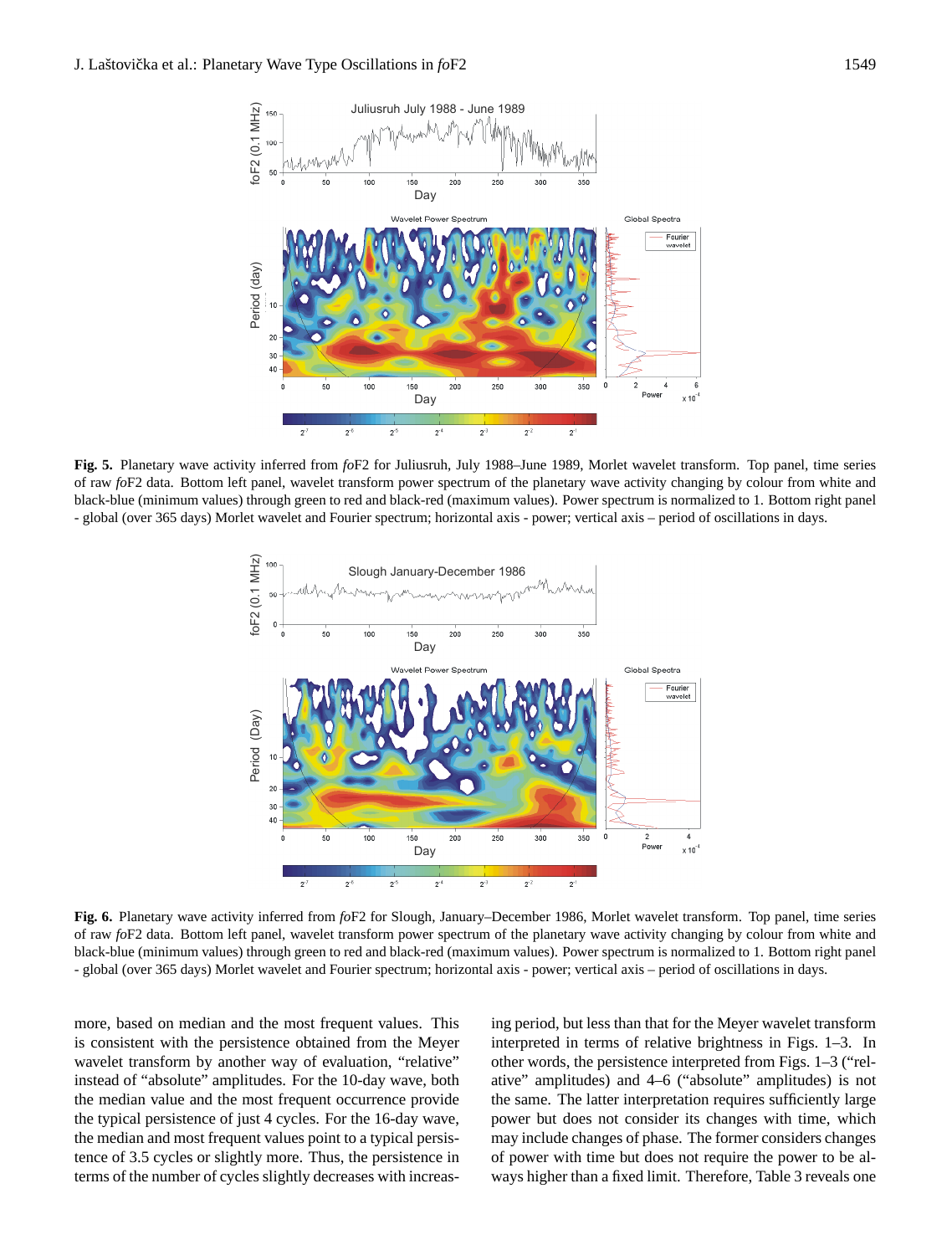

**Fig. 5.** Planetary wave activity inferred from *fo*F2 for Juliusruh, July 1988–June 1989, Morlet wavelet transform. Top panel, time series of raw *fo*F2 data. Bottom left panel, wavelet transform power spectrum of the planetary wave activity changing by colour from white and black-blue (minimum values) through green to red and black-red (maximum values). Power spectrum is normalized to 1. Bottom right panel - global (over 365 days) Morlet wavelet and Fourier spectrum; horizontal axis - power; vertical axis – period of oscillations in days.



**Fig. 6.** Planetary wave activity inferred from *fo*F2 for Slough, January–December 1986, Morlet wavelet transform. Top panel, time series of raw *fo*F2 data. Bottom left panel, wavelet transform power spectrum of the planetary wave activity changing by colour from white and black-blue (minimum values) through green to red and black-red (maximum values). Power spectrum is normalized to 1. Bottom right panel - global (over 365 days) Morlet wavelet and Fourier spectrum; horizontal axis - power; vertical axis – period of oscillations in days.

more, based on median and the most frequent values. This is consistent with the persistence obtained from the Meyer wavelet transform by another way of evaluation, "relative" instead of "absolute" amplitudes. For the 10-day wave, both the median value and the most frequent occurrence provide the typical persistence of just 4 cycles. For the 16-day wave, the median and most frequent values point to a typical persistence of 3.5 cycles or slightly more. Thus, the persistence in terms of the number of cycles slightly decreases with increasing period, but less than that for the Meyer wavelet transform interpreted in terms of relative brightness in Figs. 1–3. In other words, the persistence interpreted from Figs. 1–3 ("relative" amplitudes) and 4–6 ("absolute" amplitudes) is not the same. The latter interpretation requires sufficiently large power but does not consider its changes with time, which may include changes of phase. The former considers changes of power with time but does not require the power to be always higher than a fixed limit. Therefore, Table 3 reveals one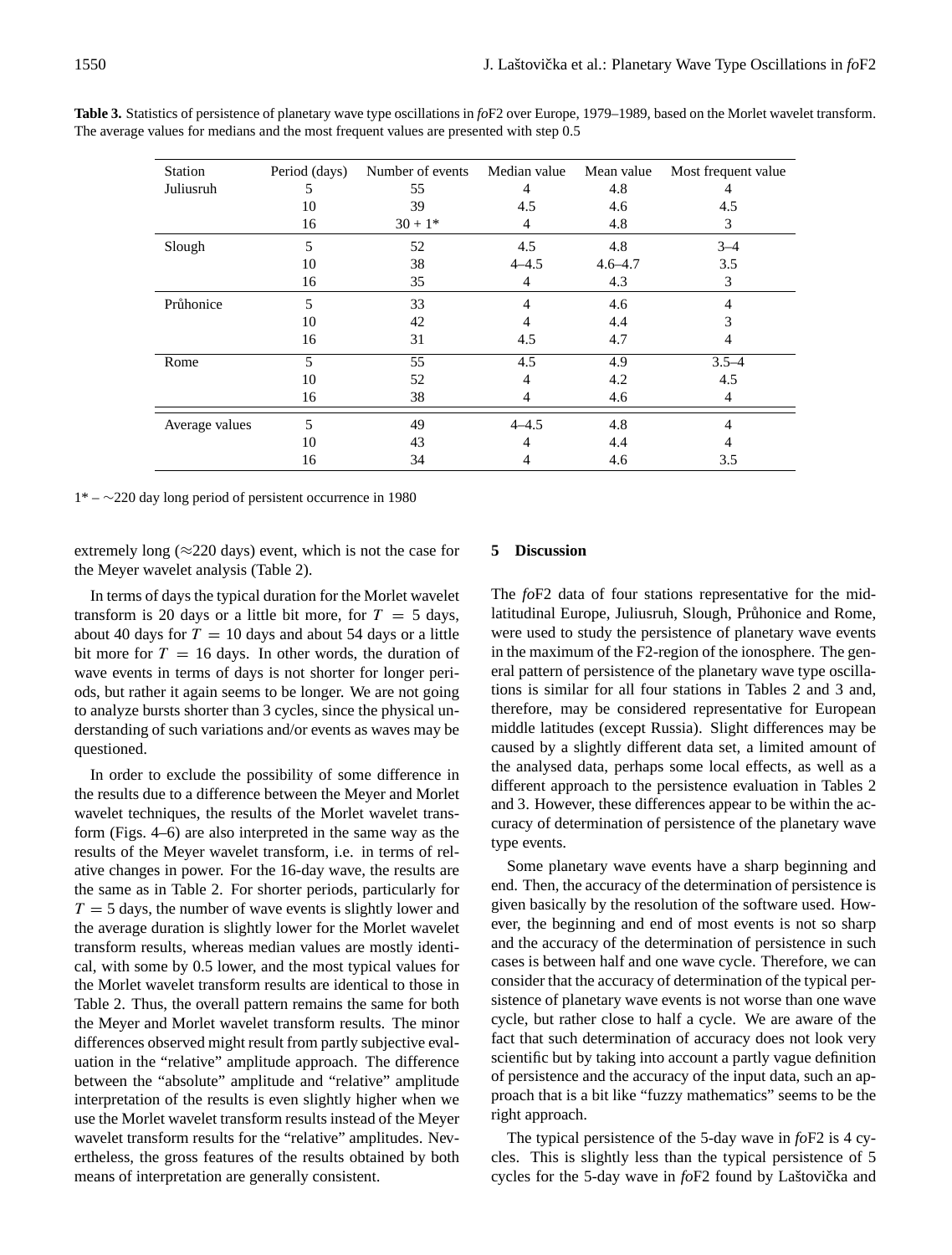| Station        | Period (days) | Number of events | Median value | Mean value  | Most frequent value |
|----------------|---------------|------------------|--------------|-------------|---------------------|
| Juliusruh      | 5             | 55               | 4            | 4.8         | 4                   |
|                | 10            | 39               | 4.5          | 4.6         | 4.5                 |
|                | 16            | $30 + 1*$        | 4            | 4.8         | 3                   |
| Slough         | 5             | 52               | 4.5          | 4.8         | $3 - 4$             |
|                | 10            | 38               | $4 - 4.5$    | $4.6 - 4.7$ | 3.5                 |
|                | 16            | 35               | 4            | 4.3         | 3                   |
| Průhonice      | 5             | 33               | 4            | 4.6         | $\overline{4}$      |
|                | 10            | 42               | 4            | 4.4         | 3                   |
|                | 16            | 31               | 4.5          | 4.7         | 4                   |
| Rome           | 5             | 55               | 4.5          | 4.9         | $3.5 - 4$           |
|                | 10            | 52               | 4            | 4.2         | 4.5                 |
|                | 16            | 38               | 4            | 4.6         | $\overline{4}$      |
| Average values | 5             | 49               | $4 - 4.5$    | 4.8         | 4                   |
|                | 10            | 43               | 4            | 4.4         | 4                   |
|                | 16            | 34               | 4            | 4.6         | 3.5                 |

**Table 3.** Statistics of persistence of planetary wave type oscillations in *fo*F2 over Europe, 1979–1989, based on the Morlet wavelet transform. The average values for medians and the most frequent values are presented with step 0.5

1\* – ∼220 day long period of persistent occurrence in 1980

extremely long ( $\approx$ 220 days) event, which is not the case for the Meyer wavelet analysis (Table 2).

In terms of days the typical duration for the Morlet wavelet transform is 20 days or a little bit more, for  $T = 5$  days, about 40 days for  $T = 10$  days and about 54 days or a little bit more for  $T = 16$  days. In other words, the duration of wave events in terms of days is not shorter for longer periods, but rather it again seems to be longer. We are not going to analyze bursts shorter than 3 cycles, since the physical understanding of such variations and/or events as waves may be questioned.

In order to exclude the possibility of some difference in the results due to a difference between the Meyer and Morlet wavelet techniques, the results of the Morlet wavelet transform (Figs. 4–6) are also interpreted in the same way as the results of the Meyer wavelet transform, i.e. in terms of relative changes in power. For the 16-day wave, the results are the same as in Table 2. For shorter periods, particularly for  $T = 5$  days, the number of wave events is slightly lower and the average duration is slightly lower for the Morlet wavelet transform results, whereas median values are mostly identical, with some by 0.5 lower, and the most typical values for the Morlet wavelet transform results are identical to those in Table 2. Thus, the overall pattern remains the same for both the Meyer and Morlet wavelet transform results. The minor differences observed might result from partly subjective evaluation in the "relative" amplitude approach. The difference between the "absolute" amplitude and "relative" amplitude interpretation of the results is even slightly higher when we use the Morlet wavelet transform results instead of the Meyer wavelet transform results for the "relative" amplitudes. Nevertheless, the gross features of the results obtained by both means of interpretation are generally consistent.

## **5 Discussion**

The *fo*F2 data of four stations representative for the midlatitudinal Europe, Juliusruh, Slough, Průhonice and Rome, were used to study the persistence of planetary wave events in the maximum of the F2-region of the ionosphere. The general pattern of persistence of the planetary wave type oscillations is similar for all four stations in Tables 2 and 3 and, therefore, may be considered representative for European middle latitudes (except Russia). Slight differences may be caused by a slightly different data set, a limited amount of the analysed data, perhaps some local effects, as well as a different approach to the persistence evaluation in Tables 2 and 3. However, these differences appear to be within the accuracy of determination of persistence of the planetary wave type events.

Some planetary wave events have a sharp beginning and end. Then, the accuracy of the determination of persistence is given basically by the resolution of the software used. However, the beginning and end of most events is not so sharp and the accuracy of the determination of persistence in such cases is between half and one wave cycle. Therefore, we can consider that the accuracy of determination of the typical persistence of planetary wave events is not worse than one wave cycle, but rather close to half a cycle. We are aware of the fact that such determination of accuracy does not look very scientific but by taking into account a partly vague definition of persistence and the accuracy of the input data, such an approach that is a bit like "fuzzy mathematics" seems to be the right approach.

The typical persistence of the 5-day wave in *fo*F2 is 4 cycles. This is slightly less than the typical persistence of 5 cycles for the 5-day wave in *fo*F2 found by Laštovička and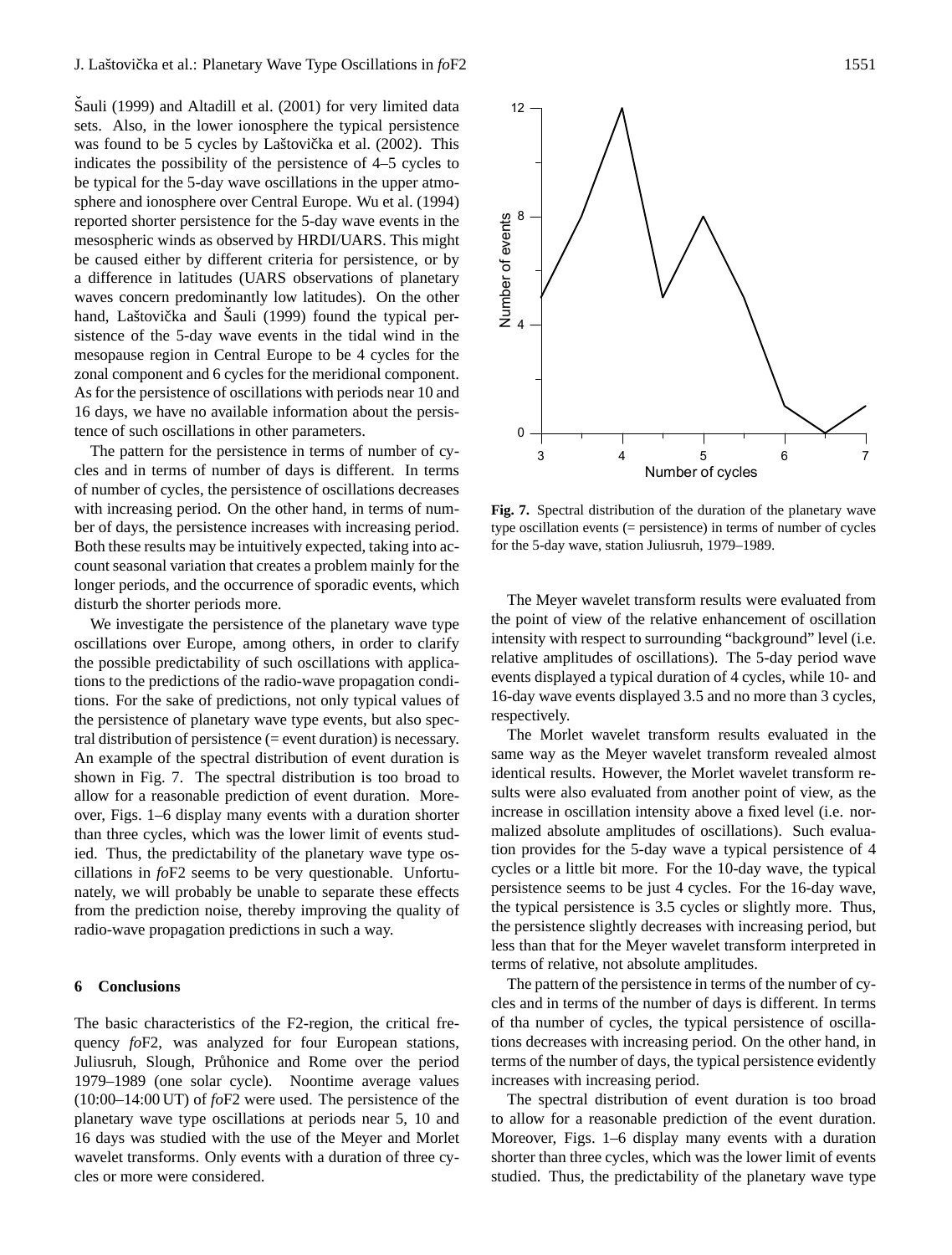Šauli (1999) and Altadill et al. (2001) for very limited data sets. Also, in the lower ionosphere the typical persistence was found to be 5 cycles by Laštovička et al. (2002). This indicates the possibility of the persistence of 4–5 cycles to be typical for the 5-day wave oscillations in the upper atmosphere and ionosphere over Central Europe. Wu et al. (1994) reported shorter persistence for the 5-day wave events in the mesospheric winds as observed by HRDI/UARS. This might be caused either by different criteria for persistence, or by a difference in latitudes (UARS observations of planetary waves concern predominantly low latitudes). On the other hand, Laštovička and Šauli (1999) found the typical persistence of the 5-day wave events in the tidal wind in the mesopause region in Central Europe to be 4 cycles for the zonal component and 6 cycles for the meridional component. As for the persistence of oscillations with periods near 10 and 16 days, we have no available information about the persistence of such oscillations in other parameters.

The pattern for the persistence in terms of number of cycles and in terms of number of days is different. In terms of number of cycles, the persistence of oscillations decreases with increasing period. On the other hand, in terms of number of days, the persistence increases with increasing period. Both these results may be intuitively expected, taking into account seasonal variation that creates a problem mainly for the longer periods, and the occurrence of sporadic events, which disturb the shorter periods more.

We investigate the persistence of the planetary wave type oscillations over Europe, among others, in order to clarify the possible predictability of such oscillations with applications to the predictions of the radio-wave propagation conditions. For the sake of predictions, not only typical values of the persistence of planetary wave type events, but also spectral distribution of persistence (= event duration) is necessary. An example of the spectral distribution of event duration is shown in Fig. 7. The spectral distribution is too broad to allow for a reasonable prediction of event duration. Moreover, Figs. 1–6 display many events with a duration shorter than three cycles, which was the lower limit of events studied. Thus, the predictability of the planetary wave type oscillations in *fo*F2 seems to be very questionable. Unfortunately, we will probably be unable to separate these effects from the prediction noise, thereby improving the quality of radio-wave propagation predictions in such a way.

#### **6 Conclusions**

The basic characteristics of the F2-region, the critical frequency *fo*F2, was analyzed for four European stations, Juliusruh, Slough, Průhonice and Rome over the period 1979–1989 (one solar cycle). Noontime average values (10:00–14:00 UT) of *fo*F2 were used. The persistence of the planetary wave type oscillations at periods near 5, 10 and 16 days was studied with the use of the Meyer and Morlet wavelet transforms. Only events with a duration of three cycles or more were considered.



**Fig. 7.** Spectral distribution of the duration of the planetary wave type oscillation events (= persistence) in terms of number of cycles for the 5-day wave, station Juliusruh, 1979–1989.

The Meyer wavelet transform results were evaluated from the point of view of the relative enhancement of oscillation intensity with respect to surrounding "background" level (i.e. relative amplitudes of oscillations). The 5-day period wave events displayed a typical duration of 4 cycles, while 10- and 16-day wave events displayed 3.5 and no more than 3 cycles, respectively.

The Morlet wavelet transform results evaluated in the same way as the Meyer wavelet transform revealed almost identical results. However, the Morlet wavelet transform results were also evaluated from another point of view, as the increase in oscillation intensity above a fixed level (i.e. normalized absolute amplitudes of oscillations). Such evaluation provides for the 5-day wave a typical persistence of 4 cycles or a little bit more. For the 10-day wave, the typical persistence seems to be just 4 cycles. For the 16-day wave, the typical persistence is 3.5 cycles or slightly more. Thus, the persistence slightly decreases with increasing period, but less than that for the Meyer wavelet transform interpreted in terms of relative, not absolute amplitudes.

The pattern of the persistence in terms of the number of cycles and in terms of the number of days is different. In terms of tha number of cycles, the typical persistence of oscillations decreases with increasing period. On the other hand, in terms of the number of days, the typical persistence evidently increases with increasing period.

The spectral distribution of event duration is too broad to allow for a reasonable prediction of the event duration. Moreover, Figs. 1–6 display many events with a duration shorter than three cycles, which was the lower limit of events studied. Thus, the predictability of the planetary wave type